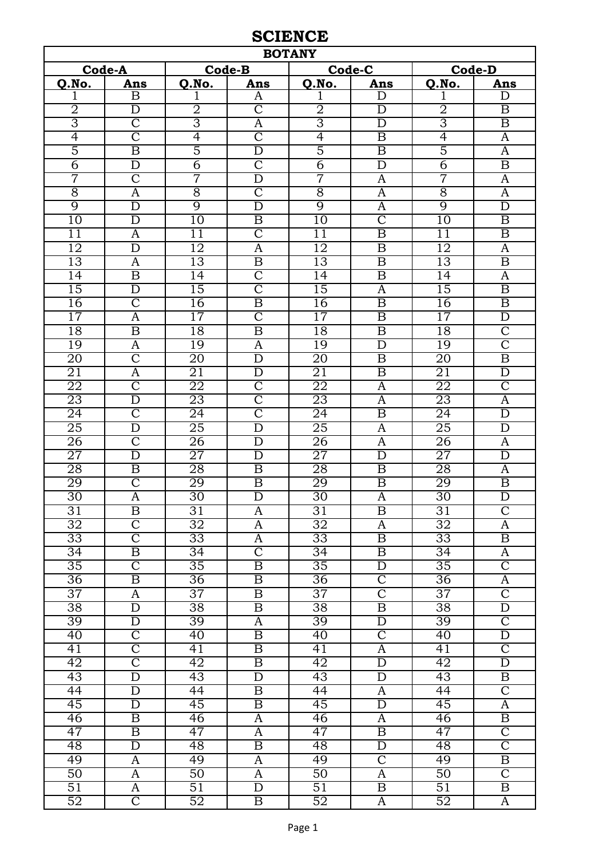## **SCIENCE**

| <b>BOTANY</b>   |                                         |                 |                                           |                 |                                  |                       |                                               |  |  |  |
|-----------------|-----------------------------------------|-----------------|-------------------------------------------|-----------------|----------------------------------|-----------------------|-----------------------------------------------|--|--|--|
|                 | Code-A                                  |                 | <b>Code-B</b>                             |                 | Code-C                           | <b>Code-D</b>         |                                               |  |  |  |
| Q.No.           | Ans                                     | Q.No.           | Ans                                       | Q.No.           | Ans                              | Q.No.                 | Ans                                           |  |  |  |
| T               | B                                       | 1               | A                                         |                 | D                                |                       | D                                             |  |  |  |
| $\overline{2}$  | D                                       | $\overline{2}$  | $\overline{\mathsf{C}}$                   | $\overline{2}$  | D                                | $\overline{2}$        | B                                             |  |  |  |
| $\overline{3}$  | $\overline{\rm C}$                      | 3               | $\overline{\mathbf{A}}$                   | $\overline{3}$  | D                                | 3                     | $\overline{\mathrm{B}}$                       |  |  |  |
| 4               | $\overline{\mathsf{C}}$                 | 4               | $\overline{\text{C}}$                     | $\overline{4}$  | $\overline{\mathbf{B}}$          | $\overline{4}$        | $\overline{A}$                                |  |  |  |
| $\overline{5}$  | $\overline{\mathrm{B}}$                 | $\overline{5}$  | $\overline{\rm D}$                        | $\overline{5}$  | $\overline{\mathbf{B}}$          | $\overline{5}$        | $\overline{A}$                                |  |  |  |
| $\overline{6}$  | $\overline{\rm D}$                      | 6               | $\overline{\text{C}}$                     | $\overline{6}$  | $\overline{D}$                   | $\overline{6}$        | $\overline{\mathrm{B}}$                       |  |  |  |
| 7               | $\overline{\rm C}$                      | 7               | $\overline{\rm D}$                        | 7               | A                                | 7                     | $\overline{A}$                                |  |  |  |
| $\overline{8}$  | A                                       | $\overline{8}$  | $\overline{\text{C}}$                     | $\overline{8}$  | A                                | $\overline{8}$        | $\overline{A}$                                |  |  |  |
| 9               | $\overline{D}$                          | $\overline{9}$  | $\overline{D}$                            | $\overline{9}$  | A                                | $\overline{9}$        | $\overline{D}$                                |  |  |  |
| $\overline{10}$ | D                                       | $\overline{10}$ | $\overline{\mathbf{B}}$                   | $\overline{10}$ | $\overline{\text{C}}$            | 10                    | $\boldsymbol{B}$                              |  |  |  |
| $\overline{11}$ | A                                       | 11              | $\overline{\text{C}}$                     | $\overline{11}$ | $\overline{\mathrm{B}}$          | $\overline{11}$       | $\overline{\mathbf{B}}$                       |  |  |  |
| 12              | $\overline{\rm D}$                      | 12              | $\overline{\mathbf{A}}$                   | 12              | B                                | 12                    | $\overline{A}$                                |  |  |  |
| 13              | A                                       | 13              | $\overline{\mathrm{B}}$                   | 13              | $\overline{B}$                   | 13                    | $\overline{\mathbf{B}}$                       |  |  |  |
| $\overline{14}$ | $\overline{\mathrm{B}}$                 | $\overline{14}$ | $\overline{\text{C}}$                     | 14              | B                                | 14                    | A                                             |  |  |  |
| $\overline{15}$ | $\overline{\rm D}$                      | $\overline{15}$ | $\overline{\text{C}}$                     | 15              | $\overline{A}$                   | 15                    | $\overline{\mathrm{B}}$                       |  |  |  |
| 16              | $\overline{\text{C}}$                   | 16              | $\overline{\mathrm{B}}$                   | 16              | $\overline{B}$                   | 16                    | $\overline{\mathbf{B}}$                       |  |  |  |
| $\overline{17}$ | $\overline{A}$                          | 17              | $\overline{\text{C}}$                     | 17              | $\overline{\mathrm{B}}$          | $\overline{17}$       | $\overline{\rm D}$                            |  |  |  |
| 18              | $\overline{\mathrm{B}}$                 | 18              | $\overline{\mathrm{B}}$                   | 18              | $\overline{B}$                   | $\overline{18}$       | $\overline{\text{C}}$                         |  |  |  |
| 19              | $\overline{A}$                          | 19              | $\overline{\mathbf{A}}$                   | 19              | $\overline{\rm D}$               | 19                    | $\overline{\text{C}}$                         |  |  |  |
| $\overline{20}$ | $\overline{\rm C}$                      | $\overline{20}$ | $\overline{\rm D}$                        | $\overline{20}$ | $\overline{\mathrm{B}}$          | $\overline{20}$       | $\overline{\mathrm{B}}$                       |  |  |  |
| 21              | A                                       | $\overline{21}$ | D                                         | 21              | $\overline{B}$                   | $\overline{21}$       | $\overline{D}$                                |  |  |  |
| 22              | $\overline{\rm C}$                      | 22              | $\overline{\text{C}}$                     | 22              | A                                | $\overline{22}$       | $\overline{\text{C}}$                         |  |  |  |
| 23              | $\overline{\rm D}$                      | 23              | $\overline{\mathbb{C}}$                   | 23              | $\overline{\rm A}$               | 23                    | $\overline{\rm A}$                            |  |  |  |
| $\overline{24}$ | $\overline{\text{C}}$                   | $\overline{24}$ | $\overline{\text{C}}$                     | $\overline{24}$ | $\overline{\mathbf{B}}$          | $\overline{24}$       | $\overline{\rm D}$                            |  |  |  |
| 25              | $\overline{\rm D}$                      | $\overline{25}$ | $\overline{D}$                            | 25              | A                                | $\overline{25}$       | $\overline{\rm D}$                            |  |  |  |
| $\overline{26}$ | $\overline{\rm C}$                      | 26              | D                                         | $\overline{26}$ | A                                | $\overline{26}$       | A                                             |  |  |  |
| $\overline{27}$ | $\overline{\rm D}$                      | $\overline{27}$ | D                                         | $\overline{27}$ | $\overline{D}$                   | $\overline{27}$       | $\overline{\rm D}$                            |  |  |  |
| $\overline{28}$ | $\overline{\mathrm{B}}$                 | $\overline{28}$ | $\overline{\mathrm{B}}$                   | $\overline{28}$ | $\overline{\mathbf{B}}$          | $\overline{28}$       | $\overline{A}$                                |  |  |  |
| 29              | $\overline{\rm C}$                      | 29              | $\overline{B}$                            | 29              | B                                | 29                    | $\overline{B}$                                |  |  |  |
| $\overline{30}$ | $\overline{\rm A}$                      | 30              | $\overline{\rm D}$                        | $\overline{30}$ | Ā                                | $\overline{30}$       | $\overline{\rm D}$                            |  |  |  |
| $\overline{31}$ | B                                       | $\overline{31}$ | A                                         | $\overline{31}$ | B                                | $\overline{31}$       | $\overline{\text{C}}$                         |  |  |  |
| 32              | $\overline{\rm C}$                      | $\overline{32}$ | A                                         | $\overline{32}$ | A                                | 32                    | A                                             |  |  |  |
| $\overline{33}$ | $\overline{\text{C}}$                   | $\overline{33}$ | A                                         | $\overline{33}$ | $\overline{B}$                   | $\overline{33}$       | $\overline{B}$                                |  |  |  |
| $\overline{34}$ | $\overline{\mathbf{B}}$                 | $\overline{34}$ | $\overline{C}$                            | $\overline{34}$ | B                                | $\overline{34}$       | A                                             |  |  |  |
| 35              | $\overline{\text{C}}$                   | 35              | $\overline{\mathbf{B}}$                   | 35              | $\overline{D}$                   | $\overline{35}$       | $\overline{\mathsf{C}}$                       |  |  |  |
| $\overline{36}$ | $\overline{\mathbf{B}}$                 | $\overline{36}$ | $\overline{\mathbf{B}}$                   | $\overline{36}$ | $\overline{C}$                   | $\overline{36}$       | A                                             |  |  |  |
| 37              | A                                       | 37              | $\overline{\mathrm{B}}$                   | 37              | $\overline{\mathrm{C}}$          | 37                    | $\overline{C}$                                |  |  |  |
| $\overline{38}$ | $\overline{\rm D}$                      | 38              | $\overline{\mathrm{B}}$                   | $\overline{38}$ | $\overline{B}$                   | $\overline{38}$       | $\overline{\rm D}$<br>$\overline{\mathsf{C}}$ |  |  |  |
| 39<br>40        | $\overline{D}$<br>$\overline{\text{C}}$ | 39<br>40        | $\overline{A}$<br>$\overline{\mathrm{B}}$ | 39<br>40        | $\overline{D}$<br>$\overline{C}$ | 39                    | $\overline{\rm D}$                            |  |  |  |
| 41              | $\overline{\mathsf{C}}$                 | 41              | $\overline{\mathrm{B}}$                   | 41              |                                  | $\overline{40}$<br>41 | $\overline{C}$                                |  |  |  |
| 42              | $\overline{\mathsf{C}}$                 | 42              | $\overline{\mathbf{B}}$                   | $\overline{42}$ | A<br>$\overline{\rm D}$          | $\overline{42}$       | $\overline{\rm D}$                            |  |  |  |
| 43              | $\overline{\rm D}$                      | 43              | $\overline{D}$                            | 43              | $\overline{D}$                   | 43                    | $\overline{\mathbf{B}}$                       |  |  |  |
| $\overline{44}$ | $\overline{D}$                          | $\overline{44}$ | $\overline{\mathbf{B}}$                   | 44              | A                                | $\overline{44}$       | $\overline{\text{C}}$                         |  |  |  |
| 45              | $\overline{D}$                          | 45              | $\overline{\mathrm{B}}$                   | 45              | D                                | 45                    | $\overline{A}$                                |  |  |  |
| 46              | $\overline{\mathrm{B}}$                 | 46              | $\overline{A}$                            | 46              | A                                | $\overline{46}$       | $\overline{\mathrm{B}}$                       |  |  |  |
| 47              | $\overline{\mathbf{B}}$                 | 47              | $\overline{A}$                            | 47              | $\overline{\mathrm{B}}$          | 47                    | $\overline{\text{C}}$                         |  |  |  |
| 48              | $\overline{D}$                          | 48              | $\overline{\mathrm{B}}$                   | 48              | $\overline{\rm D}$               | 48                    | $\overline{\mathsf{C}}$                       |  |  |  |
| 49              | A                                       | 49              | A                                         | 49              | $\overline{C}$                   | 49                    | $\overline{B}$                                |  |  |  |
| 50              | A                                       | 50              | $\overline{A}$                            | 50              | A                                | 50                    | $\overline{\text{C}}$                         |  |  |  |
| $\overline{51}$ | A                                       | $\overline{51}$ | $\overline{D}$                            | $\overline{51}$ | $\overline{B}$                   | $\overline{51}$       | $\overline{B}$                                |  |  |  |
| $\overline{52}$ | $\overline{\mathsf{C}}$                 | 52              | $\overline{\mathrm{B}}$                   | 52              | $\overline{A}$                   | 52                    | $\overline{A}$                                |  |  |  |
|                 |                                         |                 |                                           |                 |                                  |                       |                                               |  |  |  |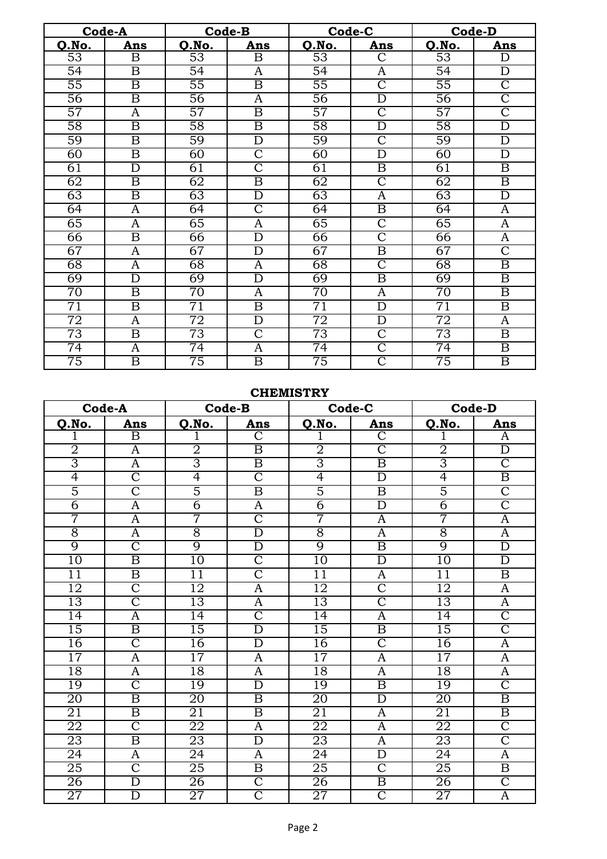|                 | Code-A                  |                 | Code-B                  |                 | Code-C                  |                 | <b>Code-D</b>           |
|-----------------|-------------------------|-----------------|-------------------------|-----------------|-------------------------|-----------------|-------------------------|
| Q.No.           | Ans                     | Q.No.           | Ans                     | Q.No.           | Ans                     | Q.No.           | Ans                     |
| $\overline{53}$ | B                       | $\overline{53}$ | $\overline{\mathrm{B}}$ | 53              | $\overline{\text{C}}$   | $\overline{53}$ | D                       |
| $\overline{54}$ | $\boldsymbol{B}$        | $\overline{54}$ | A                       | $\overline{54}$ | A                       | $\overline{54}$ | D                       |
| $\overline{55}$ | $\overline{\mathrm{B}}$ | $\overline{55}$ | $\overline{\mathbf{B}}$ | $\overline{55}$ | $\overline{\text{C}}$   | $\overline{55}$ | $\overline{\text{C}}$   |
| 56              | $\overline{\mathrm{B}}$ | 56              | A                       | 56              | D                       | 56              | $\overline{\text{C}}$   |
| 57              | A                       | 57              | $\overline{\mathbf{B}}$ | $\overline{57}$ | $\overline{\text{C}}$   | 57              | $\overline{\text{C}}$   |
| $\overline{58}$ | $\overline{\mathrm{B}}$ | $\overline{58}$ | $\overline{\mathrm{B}}$ | $\overline{58}$ | $\overline{\rm D}$      | 58              | $\overline{\rm D}$      |
| 59              | $\overline{\mathrm{B}}$ | 59              | $\overline{\rm D}$      | 59              | $\overline{\text{C}}$   | 59              | $\overline{\rm D}$      |
| $\overline{60}$ | $\overline{\mathrm{B}}$ | 60              | $\overline{\text{C}}$   | 60              | D                       | 60              | $\overline{D}$          |
| 61              | $\overline{\rm D}$      | 61              | $\overline{\text{C}}$   | 61              | $\overline{\mathrm{B}}$ | 61              | $\overline{\mathrm{B}}$ |
| 62              | $\overline{\mathrm{B}}$ | 62              | $\overline{\mathrm{B}}$ | 62              | $\overline{\text{C}}$   | 62              | $\overline{\mathrm{B}}$ |
| 63              | $\overline{\mathrm{B}}$ | 63              | $\overline{\text{D}}$   | 63              | A                       | 63              | $\overline{\rm D}$      |
| $\overline{64}$ | $\overline{A}$          | $\overline{64}$ | $\overline{\text{C}}$   | $\overline{64}$ | $\overline{\mathrm{B}}$ | $\overline{64}$ | $\overline{A}$          |
| $\overline{65}$ | $\mathbf{A}$            | $\overline{65}$ | $\mathbf{A}$            | $\overline{65}$ | $\overline{\text{C}}$   | $\overline{65}$ | $\overline{A}$          |
| 66              | $\overline{\mathrm{B}}$ | 66              | $\overline{D}$          | 66              | $\overline{\text{C}}$   | 66              | $\overline{A}$          |
| 67              | $\overline{A}$          | 67              | $\overline{\rm D}$      | 67              | $\overline{\mathrm{B}}$ | 67              | $\overline{\text{C}}$   |
| 68              | $\overline{A}$          | 68              | $\overline{A}$          | 68              | $\overline{\text{C}}$   | $\overline{68}$ | $\overline{\mathrm{B}}$ |
| 69              | $\overline{\rm D}$      | 69              | $\overline{\rm D}$      | 69              | $\overline{\mathrm{B}}$ | 69              | $\overline{\mathrm{B}}$ |
| $\overline{70}$ | $\overline{\mathrm{B}}$ | $\overline{70}$ | A                       | $\overline{70}$ | A                       | 70              | $\overline{\mathrm{B}}$ |
| $\overline{71}$ | $\overline{\mathrm{B}}$ | $\overline{71}$ | $\overline{\mathrm{B}}$ | $\overline{71}$ | $\overline{\rm D}$      | $\overline{71}$ | $\overline{\mathrm{B}}$ |
| $\overline{72}$ | $\overline{A}$          | $\overline{72}$ | $\overline{\rm D}$      | $\overline{72}$ | $\overline{\rm D}$      | $\overline{72}$ | $\overline{A}$          |
| 73              | $\overline{\mathrm{B}}$ | 73              | $\overline{\text{C}}$   | 73              | $\overline{\text{C}}$   | 73              | $\overline{\mathrm{B}}$ |
| $\overline{74}$ | A                       | 74              | A                       | $\overline{74}$ | $\overline{\text{C}}$   | $\overline{74}$ | $\overline{\mathrm{B}}$ |
| 75              | $\overline{\mathrm{B}}$ | 75              | $\overline{\mathrm{B}}$ | 75              | $\overline{\text{C}}$   | $\overline{75}$ | $\overline{\mathrm{B}}$ |

## **CHEMISTRY**

|                 | Code-A                  |                 | <b>Code-B</b>           |                 | Code-C                  |                 | Code-D                  |
|-----------------|-------------------------|-----------------|-------------------------|-----------------|-------------------------|-----------------|-------------------------|
| Q.No.           | Ans                     | Q.No.           | Ans                     | Q.No.           | Ans                     | Q.No.           | Ans                     |
| 1               | $\overline{B}$          | 1               | $\overline{C}$          | 1               | $\overline{\rm C}$      |                 | A                       |
| $\overline{2}$  | A                       | $\overline{2}$  | $\overline{\mathrm{B}}$ | $\overline{2}$  | $\overline{\text{C}}$   | $\overline{2}$  | $\overline{D}$          |
| $\overline{3}$  | A                       | $\overline{3}$  | $\overline{\mathrm{B}}$ | $\overline{3}$  | $\overline{\mathrm{B}}$ | 3               | $\overline{\text{C}}$   |
| $\overline{4}$  | $\overline{\text{C}}$   | $\overline{4}$  | $\overline{\text{C}}$   | 4               | $\overline{\rm D}$      | $\overline{4}$  | $\overline{\mathrm{B}}$ |
| $\overline{5}$  | $\overline{\text{C}}$   | $\overline{5}$  | $\overline{\mathrm{B}}$ | $\overline{5}$  | $\overline{\mathrm{B}}$ | $\overline{5}$  | $\overline{\text{C}}$   |
| $\overline{6}$  | $\overline{A}$          | $\overline{6}$  | $\overline{\mathrm{A}}$ | $\overline{6}$  | $\overline{\rm D}$      | $\overline{6}$  | $\overline{\mathsf{C}}$ |
| 7               | A                       | 7               | $\overline{\mathbb{C}}$ | 7               | $\overline{A}$          | 7               | $\overline{\rm A}$      |
| $\overline{8}$  | A                       | $\overline{8}$  | $\overline{\rm D}$      | $\overline{8}$  | $\overline{A}$          | $\overline{8}$  | $\overline{A}$          |
| $\overline{9}$  | $\overline{\rm C}$      | 9               | $\overline{\rm D}$      | $\overline{9}$  | $\overline{\mathrm{B}}$ | $\overline{9}$  | $\overline{\mathrm{D}}$ |
| 10              | $\overline{\mathrm{B}}$ | 10              | $\overline{\mathsf{C}}$ | 10              | $\overline{\rm D}$      | 10              | $\overline{D}$          |
| $\overline{11}$ | $\overline{\mathrm{B}}$ | $\overline{11}$ | $\overline{\mathsf{C}}$ | 11              | A                       | $\overline{11}$ | $\overline{\mathrm{B}}$ |
| 12              | $\overline{\text{C}}$   | $\overline{12}$ | Ā                       | 12              | $\overline{\text{C}}$   | 12              | $\overline{A}$          |
| 13              | $\overline{\text{C}}$   | 13              | $\overline{A}$          | $\overline{13}$ | $\overline{\text{C}}$   | $\overline{13}$ | $\overline{A}$          |
| 14              | A                       | 14              | $\overline{\mathsf{C}}$ | 14              | A                       | $\overline{14}$ | $\overline{\mathbb{C}}$ |
| 15              | $\overline{\mathrm{B}}$ | $\overline{15}$ | $\overline{\rm D}$      | 15              | $\overline{\mathrm{B}}$ | $\overline{15}$ | $\overline{\text{C}}$   |
| 16              | $\overline{\mathsf{C}}$ | 16              | $\overline{\rm D}$      | 16              | $\overline{\mathsf{C}}$ | 16              | $\overline{\rm A}$      |
| $\overline{17}$ | A                       | $\overline{17}$ | A                       | $\overline{17}$ | $\overline{A}$          | $\overline{17}$ | $\overline{A}$          |
| 18              | $\overline{A}$          | 18              | $\overline{A}$          | 18              | $\overline{A}$          | 18              | $\overline{A}$          |
| 19              | $\overline{\text{C}}$   | $\overline{19}$ | $\overline{\rm D}$      | 19              | $\overline{\mathrm{B}}$ | 19              | $\overline{\mathsf{C}}$ |
| 20              | $\overline{\mathrm{B}}$ | $\overline{20}$ | $\overline{\mathrm{B}}$ | $\overline{20}$ | $\overline{\rm D}$      | 20              | $\overline{\mathrm{B}}$ |
| 21              | $\overline{\mathrm{B}}$ | 21              | $\overline{\mathrm{B}}$ | 21              | $\overline{A}$          | 21              | $\overline{\mathrm{B}}$ |
| 22              | $\overline{\text{C}}$   | 22              | $\overline{A}$          | 22              | $\overline{A}$          | 22              | $\overline{\text{C}}$   |
| $\overline{23}$ | $\overline{\mathrm{B}}$ | $\overline{23}$ | $\overline{\rm D}$      | $\overline{23}$ | $\overline{A}$          | 23              | $\overline{\text{C}}$   |
| $\overline{24}$ | $\mathbf{A}$            | $\overline{24}$ | $\overline{A}$          | $\overline{24}$ | $\overline{\rm D}$      | $\overline{24}$ | $\overline{A}$          |
| 25              | $\overline{\text{C}}$   | 25              | $\overline{\mathrm{B}}$ | 25              | $\overline{\text{C}}$   | 25              | $\overline{\mathrm{B}}$ |
| 26              | $\overline{\rm D}$      | 26              | $\overline{\mathsf{C}}$ | 26              | $\overline{\mathrm{B}}$ | 26              | $\overline{\text{C}}$   |
| 27              | $\overline{\rm D}$      | 27              | $\overline{\text{C}}$   | 27              | $\overline{\text{C}}$   | 27              | $\overline{A}$          |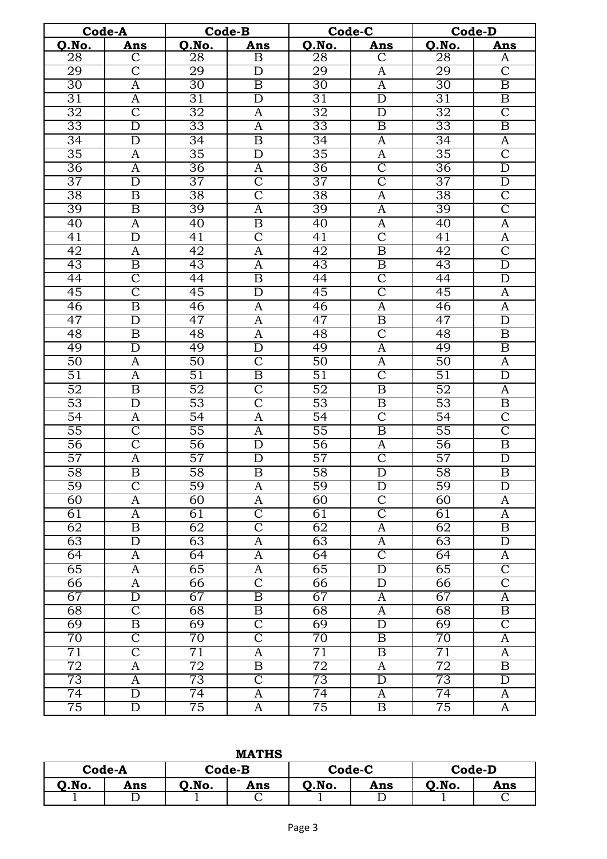|                 | Code-A                  |                 | Code-B                  |                 | Code-C                  | <b>Code-D</b>   |                         |
|-----------------|-------------------------|-----------------|-------------------------|-----------------|-------------------------|-----------------|-------------------------|
| Q.No.           | Ans                     | Q.No.           | Ans                     | O.No.           | Ans                     | Q.No.           | Ans                     |
| $\overline{28}$ | $\overline{\text{C}}$   | $\overline{28}$ | $\overline{\mathrm{B}}$ | 28              | $\overline{\text{C}}$   | 28              | A                       |
| 29              | $\overline{\text{C}}$   | 29              | $\mathbf D$             | 29              | A                       | 29              | $\overline{C}$          |
| 30              | $\overline{\rm A}$      | 30              | $\overline{\mathbf{B}}$ | $\overline{30}$ | $\overline{\rm A}$      | $\overline{30}$ | $\overline{\mathrm{B}}$ |
| 31              | $\overline{A}$          | 31              | $\overline{\rm D}$      | 31              | $\overline{\rm D}$      | 31              | $\overline{B}$          |
| 32              | $\overline{\text{C}}$   | $\overline{32}$ | $\overline{A}$          | $\overline{32}$ | $\overline{\rm D}$      | 32              | $\overline{\text{C}}$   |
| 33              | $\overline{\rm D}$      | 33              | $\overline{A}$          | 33              | $\overline{\mathrm{B}}$ | 33              | $\overline{\mathrm{B}}$ |
| 34              | $\overline{\rm D}$      | 34              | $\overline{\mathrm{B}}$ | 34              | $\overline{A}$          | $\overline{34}$ | $\overline{\mathbf{A}}$ |
| 35              | $\overline{\rm A}$      | 35              | $\overline{D}$          | 35              | A                       | $\overline{35}$ | $\overline{\text{C}}$   |
| 36              | $\overline{\rm A}$      | 36              | $\overline{A}$          | 36              | $\overline{\mathbb{C}}$ | 36              | $\overline{\text{D}}$   |
| 37              | $\overline{\rm D}$      | 37              | $\overline{\text{C}}$   | 37              | $\overline{\rm C}$      | $\overline{37}$ | $\overline{\rm D}$      |
| $\overline{38}$ | $\overline{\mathbf{B}}$ | $\overline{38}$ | $\overline{\text{C}}$   | $\overline{38}$ | $\overline{\mathbf{A}}$ | $\overline{38}$ | $\overline{\text{C}}$   |
| 39              | $\overline{\mathrm{B}}$ | 39              | $\overline{\rm A}$      | 39              | A                       | 39              | $\overline{\text{C}}$   |
| $\overline{40}$ | $\overline{\mathsf{A}}$ | 40              | $\overline{\mathbf{B}}$ | $\overline{40}$ | $\overline{A}$          | $\overline{40}$ | $\overline{\mathsf{A}}$ |
| 41              | $\overline{\rm D}$      | 41              | $\overline{\text{C}}$   | 41              | $\overline{\mathbb{C}}$ | $\overline{41}$ | $\overline{\mathbf{A}}$ |
| $\overline{42}$ | A                       | 42              | A                       | 42              | $\overline{\mathbf{B}}$ | $\overline{42}$ | $\overline{\text{C}}$   |
| 43              | $\overline{\mathrm{B}}$ | 43              | $\overline{A}$          | 43              | $\overline{\mathrm{B}}$ | 43              | $\overline{\mathrm{D}}$ |
| $\overline{44}$ | $\overline{\mathsf{C}}$ | 44              | $\overline{\mathrm{B}}$ | $\overline{44}$ | $\overline{\mathsf{C}}$ | $\overline{44}$ | $\overline{\rm D}$      |
| 45              | $\overline{\text{C}}$   | 45              | $\overline{D}$          | 45              | $\overline{\rm C}$      | 45              | $\overline{A}$          |
| 46              | $\overline{\mathbf{B}}$ | 46              | A                       | 46              | A                       | 46              | $\overline{A}$          |
| 47              | $\overline{\rm D}$      | 47              | $\overline{A}$          | 47              | $\overline{\mathrm{B}}$ | 47              | $\overline{\mathrm{D}}$ |
| 48              | $\overline{\mathrm{B}}$ | 48              | $\overline{A}$          | 48              | $\overline{\text{C}}$   | 48              | $\overline{\mathrm{B}}$ |
| 49              | $\overline{\rm D}$      | 49              | $\overline{D}$          | 49              | $\overline{A}$          | 49              | $\overline{B}$          |
| $\overline{50}$ | A                       | $\overline{50}$ | $\overline{\text{C}}$   | 50              | A                       | 50              | $\overline{A}$          |
| $\overline{51}$ | A                       | $\overline{51}$ | $\overline{\mathrm{B}}$ | $\overline{51}$ | $\overline{\rm C}$      | $\overline{51}$ | $\overline{D}$          |
| 52              | $\overline{\mathrm{B}}$ | $\overline{52}$ | $\overline{\text{C}}$   | $\overline{52}$ | $\overline{\mathrm{B}}$ | $\overline{52}$ | $\overline{A}$          |
| $\overline{53}$ | $\overline{\rm D}$      | $\overline{53}$ | $\overline{\text{C}}$   | 53              | $\overline{\mathbf{B}}$ | 53              | $\overline{B}$          |
| 54              | $\overline{\rm A}$      | 54              | $\overline{\mathbf{A}}$ | $\overline{54}$ | $\overline{\rm C}$      | 54              | $\overline{\text{C}}$   |
| $\overline{55}$ | $\overline{\text{C}}$   | 55              | $\overline{A}$          | $\overline{55}$ | $\overline{\mathrm{B}}$ | 55              | $\overline{\text{C}}$   |
| 56              | $\overline{\text{C}}$   | 56              | $\overline{\rm D}$      | 56              | $\overline{A}$          | 56              | $\overline{\mathrm{B}}$ |
| 57              | $\overline{\mathbf{A}}$ | $\overline{57}$ | $\overline{D}$          | 57              | $\overline{\mathsf{C}}$ | 57              | $\overline{D}$          |
| 58              | $\overline{\mathrm{B}}$ | $\overline{58}$ | $\overline{\mathrm{B}}$ | 58              | $\overline{\rm D}$      | 58              | $\overline{\mathrm{B}}$ |
| $\overline{59}$ | $\overline{\text{C}}$   | 59              | A                       | $\overline{59}$ | D                       | $\overline{59}$ | D                       |
| 60              | $\overline{\rm A}$      | 60              | A                       | 60              | $\overline{\text{C}}$   | 60              | A                       |
| 61              | $\overline{A}$          | 61              | $\overline{\text{C}}$   | 61              | $\overline{\text{C}}$   | 61              | $\overline{A}$          |
| 62              | $\overline{\mathrm{B}}$ | 62              | $\overline{\text{C}}$   | 62              | A                       | 62              | $\overline{\mathrm{B}}$ |
| 63              | D                       | 63              | A                       | 63              | A                       | 63              | $\overline{D}$          |
| 64              | A                       | 64              | $\overline{A}$          | $\overline{64}$ | $\overline{\text{C}}$   | $\overline{64}$ | A                       |
| 65              | $\overline{\rm A}$      | 65              | A                       | 65              | $\overline{\rm D}$      | 65              | $\overline{\mathsf{C}}$ |
| 66              | $\overline{\rm A}$      | 66              | $\overline{\text{C}}$   | 66              | $\overline{D}$          | 66              | $\overline{\mathsf{C}}$ |
| 67              | $\overline{\rm D}$      | 67              | $\overline{\mathbf{B}}$ | 67              | A                       | 67              | $\overline{A}$          |
| $\overline{68}$ | $\overline{\text{C}}$   | $\overline{68}$ | $\overline{\mathbf{B}}$ | 68              | A                       | $\overline{68}$ | $\overline{B}$          |
| 69              | $\overline{\mathrm{B}}$ | 69              | $\overline{C}$          | 69              | $\overline{D}$          | 69              | $\overline{C}$          |
| $\overline{70}$ | $\overline{\mathsf{C}}$ | 70              | $\overline{\mathbb{C}}$ | $\overline{70}$ | $\overline{\mathbf{B}}$ | 70              | $\overline{A}$          |
| $\overline{71}$ | $\overline{\rm C}$      | 71              | A                       | $\overline{71}$ | $\overline{\mathbf{B}}$ | 71              | A                       |
| 72              | $\overline{\mathbf{A}}$ | 72              | $\overline{\mathrm{B}}$ | 72              | $\overline{A}$          | 72              | $\overline{B}$          |
| 73              | A                       | 73              | $\overline{C}$          | 73              | $\overline{D}$          | 73              | $\overline{D}$          |
| 74              | $\overline{\rm D}$      | 74              | A                       | 74              | $\overline{A}$          | $\overline{74}$ | $\overline{A}$          |
| 75              | $\overline{\rm D}$      | $\overline{75}$ | A                       | 75              | $\overline{\mathrm{B}}$ | $\overline{75}$ | $\overline{A}$          |

|       | Code-A |      | $Code-B$ |       | Code-D<br>Code-C |       |     |  |  |  |
|-------|--------|------|----------|-------|------------------|-------|-----|--|--|--|
| O.No. | Ans    | .No. | Ans      | O.No. | Ans              | O.No. | Ans |  |  |  |
|       |        |      | ֊        |       |                  |       |     |  |  |  |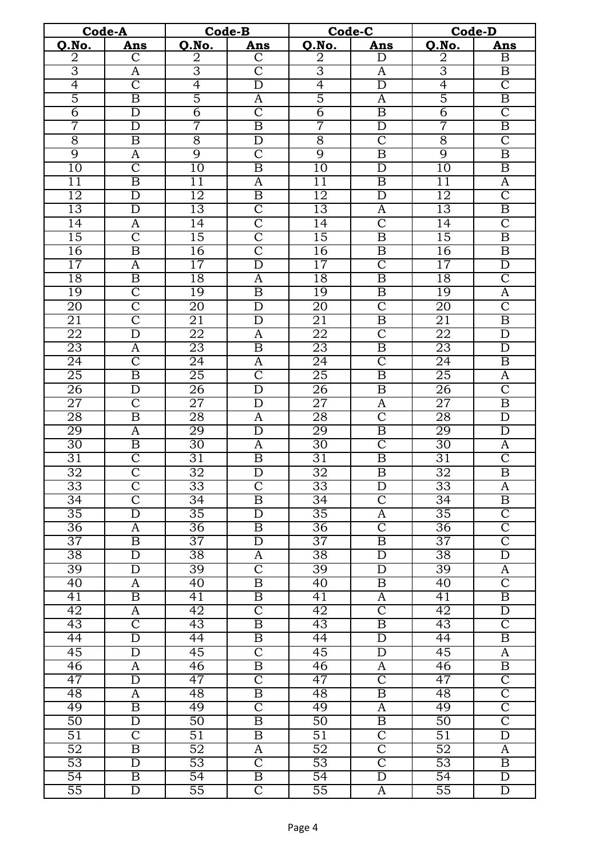|                 | Code-A                                  |                 | Code-B                  |                 | Code-C                  | Code-D          |                         |
|-----------------|-----------------------------------------|-----------------|-------------------------|-----------------|-------------------------|-----------------|-------------------------|
| Q.No.           | Ans                                     | Q.No.           | Ans                     | Q.No.           | Ans                     | Q.No.           | Ans                     |
| $\overline{2}$  | $\overline{\text{C}}$                   | $\overline{2}$  | $\mathsf{C}$            | $\overline{2}$  | D                       | 2               | B                       |
| $\overline{3}$  | $\overline{A}$                          | $\overline{3}$  | $\overline{\text{C}}$   | $\overline{3}$  | $\overline{A}$          | 3               | $\overline{B}$          |
| $\overline{4}$  | $\overline{\text{C}}$                   | $\overline{4}$  | $\overline{D}$          | $\overline{4}$  | $\overline{D}$          | 4               | $\overline{\text{C}}$   |
| 5               | $\overline{\mathrm{B}}$                 | $\overline{5}$  | A                       | $\overline{5}$  | A                       | 5               | $\overline{\mathrm{B}}$ |
| $\overline{6}$  | $\overline{\rm D}$                      | $\overline{6}$  | $\overline{\text{C}}$   | $\overline{6}$  | $\overline{\mathbf{B}}$ | $\overline{6}$  | $\overline{\text{C}}$   |
| 7               | $\overline{\rm D}$                      | 7               | $\overline{\mathrm{B}}$ | 7               | $\overline{\rm D}$      | 7               | $\overline{\mathrm{B}}$ |
| $\overline{8}$  | $\overline{\mathrm{B}}$                 | $\overline{8}$  | D                       | $\overline{8}$  | $\overline{\text{C}}$   | $\overline{8}$  | $\overline{\text{C}}$   |
| 9               | A                                       | 9               | $\overline{\text{C}}$   | $\overline{9}$  | $\overline{\mathrm{B}}$ | 9               | $\overline{\mathrm{B}}$ |
| $\overline{10}$ | $\overline{\text{C}}$                   | 10              | $\overline{\mathrm{B}}$ | $\overline{10}$ | $\overline{D}$          | $\overline{10}$ | $\overline{\mathrm{B}}$ |
| 11              | $\overline{\mathbf{B}}$                 | $\overline{11}$ | A                       | $\overline{11}$ | $\overline{\mathbf{B}}$ | $\overline{11}$ | A                       |
| $\overline{12}$ | $\overline{\rm D}$                      | 12              | $\overline{\mathrm{B}}$ | 12              | $\overline{D}$          | $\overline{12}$ | $\overline{\text{C}}$   |
| 13              | $\overline{\rm D}$                      | 13              | $\overline{\text{C}}$   | 13              | A                       | 13              | $\overline{\mathrm{B}}$ |
| $\overline{14}$ | $\overline{\mathsf{A}}$                 | $\overline{14}$ | $\overline{\text{C}}$   | $\overline{14}$ | $\overline{\mathsf{C}}$ | $\overline{14}$ | $\overline{\text{C}}$   |
| $\overline{15}$ | $\overline{\text{C}}$                   | 15              | $\overline{\text{C}}$   | 15              | $\overline{\mathbf{B}}$ | 15              | $\overline{\mathrm{B}}$ |
| 16              | $\overline{\mathrm{B}}$                 | 16              | $\overline{\text{C}}$   | 16              | $\overline{\mathbf{B}}$ | 16              | $\overline{B}$          |
| 17              | $\mathbf{A}$                            | 17              | $\overline{\rm D}$      | 17              | $\overline{\mathsf{C}}$ | 17              | $\overline{D}$          |
| 18              | $\overline{\mathrm{B}}$                 | 18              | A                       | 18              | $\overline{\mathrm{B}}$ | 18              | $\overline{\text{C}}$   |
| 19              | $\overline{\text{C}}$                   | 19              | $\overline{\mathbf{B}}$ | 19              | $\overline{\mathbf{B}}$ | 19              | $\overline{\mathbf{A}}$ |
| 20              | $\overline{\text{C}}$                   | 20              | $\overline{\rm D}$      | $\overline{20}$ | $\overline{\text{C}}$   | 20              | $\overline{\text{C}}$   |
|                 | $\overline{\text{C}}$                   | 21              | $\overline{\rm D}$      | 21              | $\overline{\mathrm{B}}$ | 21              | $\overline{\mathrm{B}}$ |
| 21              | $\overline{\rm D}$                      |                 |                         |                 | $\overline{\text{C}}$   |                 |                         |
| 22              |                                         | 22              | $\overline{A}$          | 22              | $\overline{\mathrm{B}}$ | 22              | $\overline{\rm D}$      |
| 23              | $\overline{A}$<br>$\overline{\text{C}}$ | 23              | $\overline{\mathrm{B}}$ | 23              | $\overline{\rm C}$      | 23              | $\overline{\mathrm{D}}$ |
| $\overline{24}$ |                                         | $\overline{24}$ | $\overline{A}$          | $\overline{24}$ |                         | $\overline{24}$ | $\overline{B}$          |
| $\overline{25}$ | $\overline{\mathrm{B}}$                 | $\overline{25}$ | $\overline{\text{C}}$   | $\overline{25}$ | $\overline{\mathbf{B}}$ | $\overline{25}$ | $\overline{A}$          |
| 26              | $\overline{\rm D}$                      | 26              | $\overline{\rm D}$      | 26              | $\overline{\mathrm{B}}$ | 26              | $\overline{\text{C}}$   |
| 27              | $\overline{\text{C}}$                   | 27              | D                       | $\overline{27}$ | A                       | $\overline{27}$ | $\overline{B}$          |
| 28              | $\overline{\mathrm{B}}$                 | $\overline{28}$ | $\overline{A}$          | $\overline{28}$ | $\overline{\text{C}}$   | 28              | $\overline{\rm D}$      |
| 29              | $\overline{\mathbf{A}}$                 | 29              | $\overline{D}$          | 29              | $\overline{\mathrm{B}}$ | 29              | $\overline{D}$          |
| 30              | $\overline{\mathrm{B}}$                 | 30              | A                       | 30              | $\overline{\mathsf{C}}$ | 30              | $\overline{\rm A}$      |
| $\overline{31}$ | $\overline{\text{C}}$                   | $\overline{31}$ | $\overline{B}$          | $\overline{31}$ | $\overline{\mathbf{B}}$ | $\overline{31}$ | $\overline{\text{C}}$   |
| 32              | $\overline{\text{C}}$                   | 32              | $\overline{\rm D}$      | 32              | $\overline{\mathrm{B}}$ | $\overline{32}$ | $\overline{\mathrm{B}}$ |
| 33              | $\overline{\text{C}}$                   | 33              | $\overline{C}$          | 33              | D                       | 33              | A                       |
| $\overline{34}$ | $\overline{\text{C}}$                   | 34              | $\overline{\mathrm{B}}$ | $\overline{34}$ | $\overline{\mathsf{C}}$ | 34              | $\overline{\mathrm{B}}$ |
| $\overline{35}$ | $\overline{\rm D}$                      | $\overline{35}$ | $\overline{D}$          | $\overline{35}$ | $\overline{A}$          | 35              | $\overline{\rm C}$      |
| $\overline{36}$ | A                                       | $\overline{36}$ | B                       | $\overline{36}$ | $\overline{C}$          | $\overline{36}$ | $\overline{C}$          |
| 37              | $\overline{\mathrm{B}}$                 | 37              | $\overline{\rm D}$      | $\overline{37}$ | $\overline{\mathbf{B}}$ | $\overline{37}$ | $\overline{\text{C}}$   |
| $\overline{38}$ | $\overline{D}$                          | $\overline{38}$ | A                       | $\overline{38}$ | D                       | 38              | $\overline{\mathrm{D}}$ |
| 39              | D                                       | 39              | $\overline{C}$          | 39              | D                       | 39              | A                       |
| 40              | A                                       | 40              | $\overline{\mathrm{B}}$ | $\overline{40}$ | $\overline{\mathbf{B}}$ | $\overline{40}$ | $\overline{\mathsf{C}}$ |
| $\overline{41}$ | $\overline{\mathrm{B}}$                 | $\overline{41}$ | $\overline{\mathrm{B}}$ | 41              | $\overline{A}$          | 41              | $\overline{\mathbf{B}}$ |
| $\overline{42}$ | A                                       | $\overline{42}$ | $\overline{\mathsf{C}}$ | $\overline{42}$ | $\overline{\rm C}$      | 42              | $\overline{D}$          |
| 43              | $\overline{\text{C}}$                   | 43              | $\overline{\mathrm{B}}$ | 43              | $\overline{\mathbf{B}}$ | 43              | $\overline{\text{C}}$   |
| $\overline{44}$ | $\overline{\rm D}$                      | $\overline{44}$ | $\overline{\mathrm{B}}$ | $\overline{44}$ | $\overline{D}$          | $\overline{44}$ | $\overline{\mathbf{B}}$ |
| 45              | $\overline{\rm D}$                      | 45              | $\overline{\mathsf{C}}$ | 45              | $\overline{\rm D}$      | 45              | $\overline{A}$          |
| 46              | A                                       | 46              | $\overline{\mathrm{B}}$ | 46              | A                       | 46              | $\overline{\mathrm{B}}$ |
| 47              | $\overline{\rm D}$                      | 47              | $\overline{\mathsf{C}}$ | 47              | $\overline{\mathsf{C}}$ | 47              | $\overline{\mathsf{C}}$ |
| 48              | $\overline{\rm A}$                      | 48              | $\overline{B}$          | 48              | $\overline{\mathrm{B}}$ | 48              | $\overline{\mathsf{C}}$ |
| 49              | $\overline{\mathrm{B}}$                 | 49              | $\overline{\mathbb{C}}$ | 49              | $\overline{A}$          | 49              | $\overline{\mathbb{C}}$ |
| 50              | D                                       | $50\,$          | $\overline{\mathrm{B}}$ | 50              | $\overline{\mathbf{B}}$ | 50              | $\overline{\rm C}$      |
| 51              | $\overline{\text{C}}$                   | 51              | $\overline{\mathrm{B}}$ | 51              | $\overline{\rm C}$      | $\overline{51}$ | $\overline{\rm D}$      |
| $\overline{52}$ | $\overline{\mathrm{B}}$                 | 52              | A                       | $\overline{52}$ | $\overline{\text{C}}$   | $\overline{52}$ | A                       |
| $\overline{53}$ | $\mathbf D$                             | $\overline{53}$ | $\overline{\mathsf{C}}$ | $\overline{53}$ | $\overline{\mathsf{C}}$ | $\overline{53}$ | $\boldsymbol{B}$        |
| $\overline{54}$ | $\overline{\mathbf{B}}$                 | $\overline{54}$ | $\overline{\mathbf{B}}$ | $\overline{54}$ | $\overline{D}$          | $\overline{54}$ | $\overline{D}$          |
| 55              | $\overline{\rm D}$                      | 55              | $\overline{C}$          | $\overline{55}$ | A                       | $\overline{55}$ | $\overline{D}$          |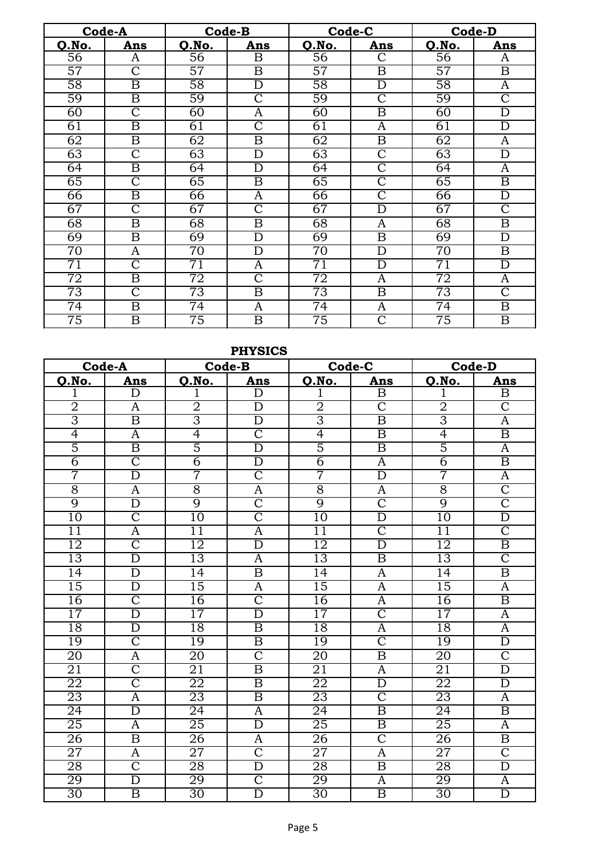|                 | Code-A                  | Code-B          |                         |                 | Code-C                  |                 | <b>Code-D</b>           |
|-----------------|-------------------------|-----------------|-------------------------|-----------------|-------------------------|-----------------|-------------------------|
| Q.No.           | Ans                     | Q.No.           | Ans                     | Q.No.           | Ans                     | <b>Q.No.</b>    | Ans                     |
| 56              | A                       | 56              | $\overline{\mathrm{B}}$ | $\overline{56}$ | $\overline{C}$          | 56              | A                       |
| $\overline{57}$ | Ć                       | $\overline{57}$ | B                       | $\overline{57}$ | B                       | $\overline{57}$ | $\boldsymbol{B}$        |
| $\overline{58}$ | B                       | $\overline{58}$ | $\overline{\rm D}$      | $\overline{58}$ | D                       | $\overline{58}$ | A                       |
| 59              | $\overline{\mathrm{B}}$ | 59              | $\overline{\text{C}}$   | 59              | $\overline{\text{C}}$   | 59              | $\overline{\text{C}}$   |
| $\overline{60}$ | $\overline{\text{C}}$   | 60              | A                       | $\overline{60}$ | $\overline{\mathrm{B}}$ | $\overline{60}$ | $\overline{\rm D}$      |
| $\overline{61}$ | $\overline{\mathrm{B}}$ | 61              | $\overline{\text{C}}$   | 61              | A                       | 61              | $\overline{\rm D}$      |
| $\overline{62}$ | $\overline{\mathrm{B}}$ | $\overline{62}$ | $\overline{\mathrm{B}}$ | 62              | $\overline{\mathrm{B}}$ | 62              | A                       |
| 63              | $\overline{\rm C}$      | 63              | D                       | 63              | $\overline{\text{C}}$   | 63              | D                       |
| $\overline{64}$ | B                       | 64              | D                       | 64              | $\overline{\text{C}}$   | 64              | A                       |
| 65              | $\overline{\text{C}}$   | 65              | $\overline{\mathrm{B}}$ | 65              | $\overline{\text{C}}$   | 65              | $\overline{\mathrm{B}}$ |
| 66              | $\overline{\mathrm{B}}$ | 66              | A                       | 66              | $\overline{\text{C}}$   | 66              | D                       |
| 67              | $\overline{\rm C}$      | 67              | $\overline{\rm C}$      | 67              | D                       | 67              | $\overline{\text{C}}$   |
| 68              | B                       | 68              | $\mathbf B$             | 68              | A                       | 68              | $\overline{\mathrm{B}}$ |
| 69              | $\overline{\mathrm{B}}$ | 69              | $\overline{\rm D}$      | 69              | $\overline{\mathrm{B}}$ | 69              | $\overline{\rm D}$      |
| 70              | A                       | 70              | $\overline{\rm D}$      | 70              | D                       | $\overline{70}$ | $\overline{\mathrm{B}}$ |
| $\overline{71}$ | $\overline{\text{C}}$   | 71              | A                       | $\overline{71}$ | D                       | $\overline{71}$ | $\overline{\rm D}$      |
| $\overline{72}$ | $\overline{\mathrm{B}}$ | 72              | $\overline{\text{C}}$   | $\overline{72}$ | A                       | $\overline{72}$ | $\overline{\rm A}$      |
| 73              | $\overline{\rm C}$      | 73              | $\overline{\mathrm{B}}$ | $\overline{73}$ | $\overline{\mathrm{B}}$ | 73              | $\overline{\text{C}}$   |
| $\overline{74}$ | $\overline{\mathrm{B}}$ | $\overline{74}$ | A                       | $\overline{74}$ | A                       | $\overline{74}$ | $\overline{\mathrm{B}}$ |
| 75              | $\overline{\mathrm{B}}$ | $\overline{75}$ | $\overline{\mathrm{B}}$ | $\overline{75}$ | $\overline{\text{C}}$   | $\overline{75}$ | $\overline{\mathrm{B}}$ |

## **PHYSICS**

|                 | Code-A                  |                 | Code-B                  |                 | Code-C                  |                 | <b>Code-D</b>           |
|-----------------|-------------------------|-----------------|-------------------------|-----------------|-------------------------|-----------------|-------------------------|
| Q.No.           | Ans                     | <b>Q.No.</b>    | Ans                     | Q.No.           | Ans                     | Q.No.           | Ans                     |
| 1               | D                       | 1               | D                       | 1               | $\overline{\mathrm{B}}$ |                 | $\overline{\mathbf{B}}$ |
| $\overline{2}$  | A                       | $\overline{2}$  | $\overline{D}$          | $\overline{2}$  | $\overline{\text{C}}$   | $\overline{2}$  | $\overline{\text{C}}$   |
| $\overline{3}$  | $\overline{\mathrm{B}}$ | $\overline{3}$  | $\overline{\rm D}$      | $\overline{3}$  | $\overline{\mathrm{B}}$ | $\overline{3}$  | $\overline{\mathbf{A}}$ |
| $\overline{4}$  | $\overline{A}$          | 4               | $\overline{\text{C}}$   | 4               | $\overline{\mathrm{B}}$ | $\overline{4}$  | $\overline{\mathrm{B}}$ |
| $\overline{5}$  | $\overline{\mathrm{B}}$ | $\overline{5}$  | $\overline{\rm D}$      | $\overline{5}$  | $\overline{\mathrm{B}}$ | $\overline{5}$  | $\overline{A}$          |
| $\overline{6}$  | $\overline{\text{C}}$   | $\overline{6}$  | $\overline{D}$          | $\overline{6}$  | $\mathbf{A}$            | $\overline{6}$  | $\overline{\mathrm{B}}$ |
| 7               | $\overline{D}$          | 7               | $\overline{\text{C}}$   | 7               | $\overline{D}$          | 7               | $\overline{A}$          |
| $\overline{8}$  | $\overline{A}$          | $\overline{8}$  | $\overline{A}$          | $\overline{8}$  | A                       | $\overline{8}$  | $\overline{\text{C}}$   |
| $\overline{9}$  | $\overline{\rm D}$      | 9               | $\overline{\text{C}}$   | 9               | $\overline{\text{C}}$   | 9               | $\overline{\text{C}}$   |
| $\overline{10}$ | $\overline{\text{C}}$   | $\overline{10}$ | $\overline{\rm C}$      | $\overline{10}$ | $\overline{\rm D}$      | 10              | $\overline{\rm D}$      |
| 11              | $\overline{A}$          | $\overline{11}$ | $\overline{\rm A}$      | $\overline{11}$ | $\overline{\text{C}}$   | $\overline{11}$ | $\overline{\text{C}}$   |
| $\overline{12}$ | $\overline{\text{C}}$   | $\overline{12}$ | $\overline{\rm D}$      | 12              | $\overline{\rm D}$      | $\overline{12}$ | $\overline{\mathrm{B}}$ |
| 13              | $\overline{D}$          | 13              | $\overline{\mathbf{A}}$ | 13              | $\overline{\mathbf{B}}$ | 13              | $\overline{\text{C}}$   |
| 14              | $\overline{\rm D}$      | $\overline{14}$ | $\overline{\mathrm{B}}$ | $\overline{14}$ | $\overline{A}$          | 14              | $\overline{\mathrm{B}}$ |
| $\overline{15}$ | $\overline{\rm D}$      | 15              | $\overline{\mathsf{A}}$ | 15              | $\overline{A}$          | 15              | $\overline{A}$          |
| 16              | $\overline{\text{C}}$   | 16              | $\overline{\text{C}}$   | 16              | $\overline{\mathbf{A}}$ | 16              | $\overline{\mathrm{B}}$ |
| $\overline{17}$ | $\overline{\rm D}$      | $\overline{17}$ | $\overline{\rm D}$      | $\overline{17}$ | $\overline{\text{C}}$   | $\overline{17}$ | $\overline{A}$          |
| 18              | $\overline{D}$          | 18              | $\overline{\mathrm{B}}$ | 18              | $\overline{A}$          | $\overline{18}$ | $\overline{A}$          |
| 19              | $\overline{\text{C}}$   | 19              | $\overline{\mathrm{B}}$ | 19              | $\overline{\text{C}}$   | 19              | $\overline{D}$          |
| $\overline{20}$ | $\overline{\rm A}$      | $\overline{20}$ | $\overline{\text{C}}$   | $\overline{20}$ | $\overline{\mathrm{B}}$ | $\overline{20}$ | $\overline{\text{C}}$   |
| 21              | $\overline{\rm C}$      | 21              | $\overline{\mathrm{B}}$ | 21              | A                       | 21              | $\overline{\rm D}$      |
| 22              | $\overline{\text{C}}$   | 22              | $\overline{\mathrm{B}}$ | 22              | $\overline{\rm D}$      | 22              | $\overline{\rm D}$      |
| 23              | $\overline{A}$          | 23              | $\overline{\mathrm{B}}$ | 23              | $\overline{\text{C}}$   | 23              | $\overline{A}$          |
| $\overline{24}$ | $\overline{\rm D}$      | $\overline{24}$ | $\overline{\mathbf{A}}$ | $\overline{24}$ | $\overline{\mathrm{B}}$ | $\overline{24}$ | $\overline{\mathrm{B}}$ |
| 25              | $\overline{A}$          | 25              | $\overline{\rm D}$      | 25              | $\overline{\mathrm{B}}$ | 25              | $\overline{\rm A}$      |
| 26              | $\overline{\mathrm{B}}$ | 26              | A                       | 26              | $\overline{\text{C}}$   | 26              | $\overline{\mathrm{B}}$ |
| $\overline{27}$ | $\overline{A}$          | 27              | $\overline{\text{C}}$   | $\overline{27}$ | $\overline{\mathsf{A}}$ | $\overline{27}$ | $\overline{\text{C}}$   |
| 28              | $\overline{\rm C}$      | 28              | $\overline{\rm D}$      | 28              | $\overline{\mathrm{B}}$ | 28              | $\overline{\rm D}$      |
| 29              | $\overline{D}$          | 29              | $\overline{\text{C}}$   | 29              | A                       | 29              | $\overline{A}$          |
| 30              | $\overline{\mathrm{B}}$ | $\overline{30}$ | $\overline{\rm D}$      | 30              | $\overline{\mathrm{B}}$ | 30              | $\overline{\text{D}}$   |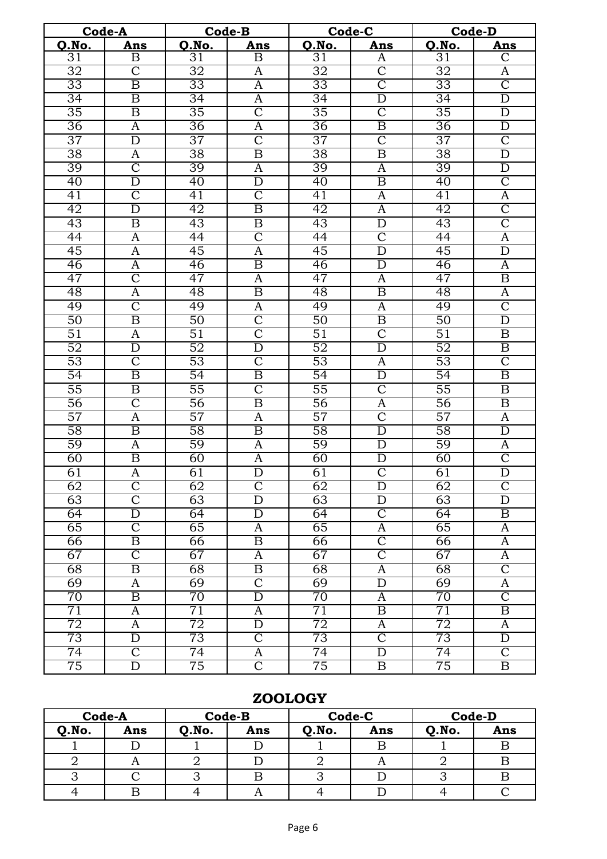|                 | Code-A                  |                 | Code-B                  |                 | Code-C                  |                 | <b>Code-D</b>           |
|-----------------|-------------------------|-----------------|-------------------------|-----------------|-------------------------|-----------------|-------------------------|
| Q.No.           | Ans                     | Q.No.           | Ans                     | Q.No.           | Ans                     | Q.No.           | Ans                     |
| 31              | $\overline{\mathrm{B}}$ | 31              | $\overline{\mathrm{B}}$ | 31              | $\overline{A}$          | 31              | $\overline{\text{C}}$   |
| 32              | $\overline{\text{C}}$   | $\overline{32}$ | A                       | $\overline{32}$ | $\overline{\rm C}$      | $\overline{32}$ | A                       |
| $\overline{33}$ | $\overline{\mathrm{B}}$ | $\overline{33}$ | $\overline{A}$          | $\overline{33}$ | $\overline{\mathsf{C}}$ | 33              | $\overline{\text{C}}$   |
| $\overline{34}$ | $\overline{\mathrm{B}}$ | $\overline{34}$ | $\overline{A}$          | $\overline{34}$ | $\overline{\rm D}$      | $\overline{34}$ | $\overline{D}$          |
| $\overline{35}$ | $\overline{\mathrm{B}}$ | 35              | $\overline{\mathsf{C}}$ | $\overline{35}$ | $\overline{\rm C}$      | 35              | $\overline{\mathrm{D}}$ |
| 36              | $\overline{\rm A}$      | 36              | $\overline{\mathrm{A}}$ | 36              | $\overline{\mathrm{B}}$ | 36              | $\overline{\mathrm{D}}$ |
| 37              | $\overline{\rm D}$      | 37              | $\overline{\rm C}$      | 37              | $\overline{\text{C}}$   | 37              | $\overline{\text{C}}$   |
| 38              | $\overline{\rm A}$      | $\overline{38}$ | $\overline{\mathrm{B}}$ | $\overline{38}$ | $\overline{\mathrm{B}}$ | $\overline{38}$ | $\overline{\mathrm{D}}$ |
| 39              | $\overline{\text{C}}$   | 39              | $\overline{A}$          | 39              | $\overline{\mathbf{A}}$ | 39              | $\overline{\mathrm{D}}$ |
| 40              | $\overline{\rm D}$      | $\overline{40}$ | $\overline{D}$          | $\overline{40}$ | $\overline{\mathrm{B}}$ | $\overline{40}$ | $\overline{\text{C}}$   |
| $\overline{41}$ | $\overline{\text{C}}$   | 41              | $\overline{\text{C}}$   | $\overline{41}$ | $\overline{A}$          | $\overline{41}$ | $\overline{A}$          |
| $\overline{42}$ | $\overline{\text{D}}$   | $\overline{42}$ | $\overline{\mathrm{B}}$ | 42              | A                       | 42              | $\overline{\text{C}}$   |
| 43              | $\overline{\mathrm{B}}$ | 43              | $\overline{\mathbf{B}}$ | 43              | $\overline{\rm D}$      | 43              | $\overline{\text{C}}$   |
| $\overline{44}$ | $\overline{\rm A}$      | $\overline{44}$ | $\overline{\text{C}}$   | 44              | $\overline{\text{C}}$   | $\overline{44}$ | $\overline{A}$          |
| 45              | $\overline{A}$          | 45              | A                       | 45              | $\overline{D}$          | 45              | $\overline{D}$          |
| 46              | $\overline{\rm A}$      | 46              | $\overline{\mathrm{B}}$ | 46              | $\overline{\rm D}$      | 46              | $\overline{A}$          |
| 47              | $\overline{\text{C}}$   | 47              | A                       | 47              | $\overline{\mathbf{A}}$ | 47              | $\overline{\mathrm{B}}$ |
| $\overline{48}$ | $\overline{\rm A}$      | 48              | $\overline{\mathrm{B}}$ | 48              | $\overline{\mathrm{B}}$ | $\overline{48}$ | $\overline{\mathsf{A}}$ |
| 49              | $\overline{\text{C}}$   | 49              | A                       | 49              | A                       | 49              | $\overline{\text{C}}$   |
| 50              | $\overline{\mathrm{B}}$ | $\overline{50}$ | $\overline{\text{C}}$   | 50              | $\overline{\mathrm{B}}$ | $\overline{50}$ | $\overline{\rm D}$      |
| 51              | $\overline{A}$          | $\overline{51}$ | $\overline{\rm C}$      | $\overline{51}$ | $\overline{\text{C}}$   | $\overline{51}$ | $\overline{\mathrm{B}}$ |
| 52              | $\overline{\rm D}$      | $\overline{52}$ | $\overline{\rm D}$      | 52              | $\overline{\rm D}$      | 52              | $\overline{B}$          |
| 53              | $\overline{\mathsf{C}}$ | 53              | $\overline{\text{C}}$   | 53              | A                       | 53              | $\overline{C}$          |
| 54              | $\overline{\mathrm{B}}$ | 54              | $\overline{\mathrm{B}}$ | $\overline{54}$ | $\overline{\rm D}$      | $\overline{54}$ | $\overline{\mathrm{B}}$ |
| $\overline{55}$ | $\overline{\mathrm{B}}$ | $\overline{55}$ | $\overline{\text{C}}$   | $\overline{55}$ | $\overline{\text{C}}$   | $\overline{55}$ | $\overline{\mathrm{B}}$ |
| $\overline{56}$ | $\overline{\text{C}}$   | $\overline{56}$ | $\overline{\mathrm{B}}$ | 56              | $\overline{A}$          | 56              | $\overline{\mathrm{B}}$ |
| $\overline{57}$ | $\overline{\rm A}$      | $\overline{57}$ | $\overline{A}$          | $\overline{57}$ | $\overline{\rm C}$      | $\overline{57}$ | $\overline{A}$          |
| 58              | $\overline{\mathrm{B}}$ | 58              | $\overline{\mathrm{B}}$ | 58              | $\overline{\rm D}$      | 58              | $\overline{\rm D}$      |
| 59              | $\overline{A}$          | 59              | $\overline{A}$          | 59              | $\overline{\rm D}$      | 59              | $\overline{\mathbf{A}}$ |
| 60              | $\overline{\mathbf{B}}$ | $\overline{60}$ | $\boldsymbol{A}$        | 60              | $\overline{\rm D}$      | 60              | $\overline{C}$          |
| 61              | $\overline{\rm A}$      | 61              | $\overline{\rm D}$      | 61              | $\overline{\mathbb{C}}$ | 61              | $\overline{\rm D}$      |
| 62              | $\mathcal{C}$           | $\overline{62}$ | $\overline{\rm C}$      | $\overline{62}$ | D                       | $\overline{62}$ | $\mathcal{C}$           |
| 63              | $\overline{\text{C}}$   | 63              | $\overline{D}$          | 63              | D                       | 63              | $\overline{D}$          |
| 64              | $\overline{\rm D}$      | 64              | $\overline{\rm D}$      | $\overline{64}$ | $\overline{\mathsf{C}}$ | $\overline{64}$ | $\overline{\mathbf{B}}$ |
| 65              | $\overline{\text{C}}$   | 65              | A                       | 65              | A                       | 65              | A                       |
| 66              | $\overline{\mathbf{B}}$ | 66              | B                       | 66              | $\overline{\text{C}}$   | 66              | A                       |
| 67              | $\overline{\text{C}}$   | 67              | A                       | 67              | $\overline{\text{C}}$   | 67              | A                       |
| 68              | $\overline{\mathbf{B}}$ | 68              | $\overline{\mathbf{B}}$ | 68              | A                       | 68              | $\overline{\mathsf{C}}$ |
| 69              | $\overline{\rm A}$      | 69              | $\overline{\text{C}}$   | 69              | $\overline{D}$          | 69              | $\overline{A}$          |
| $\overline{70}$ | $\overline{\mathrm{B}}$ | $\overline{70}$ | $\overline{\rm D}$      | 70              | A                       | $\overline{70}$ | $\overline{\mathsf{C}}$ |
| $\overline{71}$ | A                       | $\overline{71}$ | A                       | $\overline{71}$ | $\boldsymbol{B}$        | $\overline{71}$ | $\boldsymbol{B}$        |
| 72              | A                       | 72              | $\overline{D}$          | 72              | A                       | $\overline{72}$ | A                       |
| 73              | D                       | 73              | $\overline{\rm C}$      | 73              | $\overline{\rm C}$      | 73              | $\overline{D}$          |
| 74              | $\overline{\mathsf{C}}$ | 74              | A                       | 74              | $\overline{D}$          | 74              | $\overline{C}$          |
| 75              | $\overline{\rm D}$      | 75              | $\overline{\rm C}$      | 75              | $\overline{\mathrm{B}}$ | 75              | $\overline{\mathrm{B}}$ |

## **ZOOLOGY**

|       | Code-A       | <b>Code-B</b> |     | Code-C |     | <b>Code-D</b> |     |
|-------|--------------|---------------|-----|--------|-----|---------------|-----|
| Q.No. | Ans          | Q.No.         | Ans | Q.No.  | Ans | Q.No.         | Ans |
|       |              |               |     |        |     |               |     |
|       | $\mathbf{L}$ |               |     | -      |     |               |     |
|       |              |               |     |        |     |               |     |
|       |              |               | 1 P |        |     |               |     |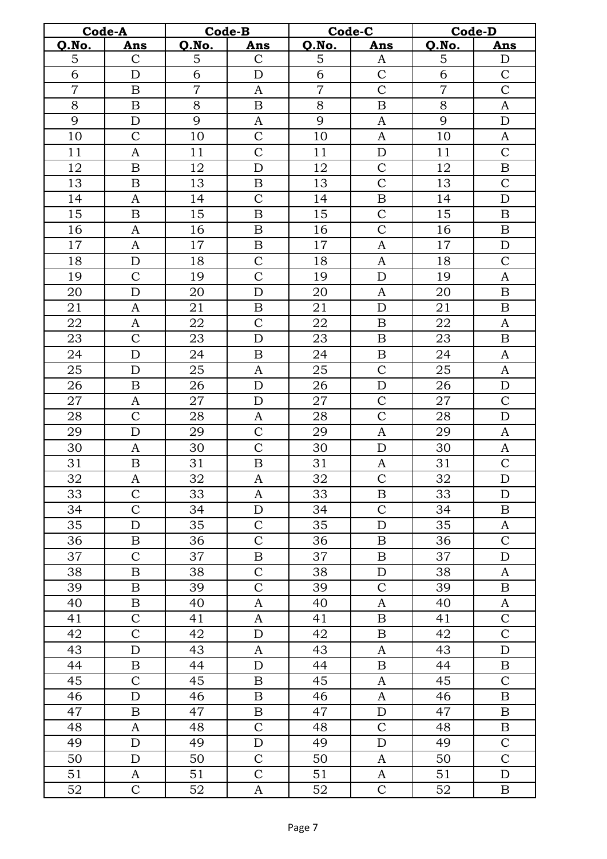|                | Code-A                    |                | Code-B           |                | Code-C                | <b>Code-D</b>  |                  |  |
|----------------|---------------------------|----------------|------------------|----------------|-----------------------|----------------|------------------|--|
| Q.No.          | Ans                       | Q.No.          | <b>Ans</b>       | Q.No.          | Ans                   | Q.No.          | Ans              |  |
| 5              | $\mathbf C$               | 5              | $\mathbf C$      | $\mathbf 5$    | A                     | 5              | $\mathbf D$      |  |
| 6              | $\mathbf D$               | 6              | $\mathbf D$      | 6              | $\mathbf C$           | 6              | $\mathcal{C}$    |  |
| $\overline{7}$ | $\, {\bf B}$              | $\overline{7}$ | A                | $\overline{7}$ | $\overline{\text{C}}$ | $\overline{7}$ | $\overline{C}$   |  |
| $8\,$          | $\boldsymbol{\mathrm{B}}$ | $8\,$          | $\, {\bf B}$     | $8\,$          | $\, {\bf B}$          | $8\,$          | $\boldsymbol{A}$ |  |
| $\overline{9}$ | $\mathbf D$               | 9              | $\boldsymbol{A}$ | 9              | $\boldsymbol{A}$      | 9              | ${\rm D}$        |  |
| 10             | $\mathcal{C}$             | 10             | $\mathcal{C}$    | 10             | $\boldsymbol{A}$      | 10             | A                |  |
| 11             | $\boldsymbol{A}$          | 11             | $\overline{C}$   | 11             | ${\bf D}$             | 11             | $\overline{C}$   |  |
| 12             | $\, {\bf B}$              | 12             | $\mathbf D$      | 12             | $\mathbf C$           | 12             | $\, {\bf B}$     |  |
| 13             | $\boldsymbol{B}$          | 13             | B                | 13             | $\mathbf C$           | 13             | $\mathcal{C}$    |  |
| 14             | $\mathbf{A}$              | 14             | $\overline{C}$   | 14             | $\boldsymbol{B}$      | 14             | $\mathbf D$      |  |
| 15             | $\, {\bf B}$              | 15             | $\, {\bf B}$     | 15             | $\overline{\rm C}$    | 15             | $\, {\bf B}$     |  |
| 16             | $\boldsymbol{A}$          | 16             | $\, {\bf B}$     | 16             | $\overline{C}$        | 16             | $\, {\bf B}$     |  |
| 17             | $\boldsymbol{A}$          | 17             | $\, {\bf B}$     | 17             | $\boldsymbol{A}$      | 17             | $\mathbf D$      |  |
| 18             | $\mathbf D$               | 18             | $\overline{C}$   | 18             | A                     | 18             | $\overline{C}$   |  |
| 19             | $\mathbf C$               | 19             | $\mathcal{C}$    | 19             | $\mathbf D$           | 19             | A                |  |
| 20             | $\mathbf D$               | 20             | ${\rm D}$        | 20             | A                     | 20             | $\, {\bf B}$     |  |
| 21             | $\boldsymbol{A}$          | 21             | $\, {\bf B}$     | 21             | $\mathbf D$           | 21             | $\boldsymbol{B}$ |  |
| 22             | $\boldsymbol{A}$          | 22             | $\overline{C}$   | 22             | $\, {\bf B}$          | 22             | $\boldsymbol{A}$ |  |
| 23             | $\mathcal{C}$             | 23             | $\mathbf D$      | 23             | $\, {\bf B}$          | 23             | $\, {\bf B}$     |  |
| 24             | ${\bf D}$                 | 24             | $\, {\bf B}$     | 24             | $\, {\bf B}$          | 24             | $\boldsymbol{A}$ |  |
| 25             | $\mathbf D$               | 25             | $\mathbf{A}$     | 25             | $\mathcal{C}$         | 25             | $\boldsymbol{A}$ |  |
| 26             | $\, {\bf B}$              | 26             | $\mathbf D$      | 26             | $\mathbf D$           | 26             | $\mathbf D$      |  |
| 27             | $\boldsymbol{A}$          | 27             | $\mathbf D$      | 27             | $\overline{C}$        | 27             | $\overline{C}$   |  |
| 28             | $\mathcal{C}$             | 28             | $\boldsymbol{A}$ | 28             | $\overline{C}$        | 28             | $\mathbf D$      |  |
| 29             | $\mathbf D$               | 29             | $\overline{C}$   | 29             | $\mathbf{A}$          | 29             | $\boldsymbol{A}$ |  |
| 30             | $\mathbf{A}$              | 30             | $\overline{C}$   | 30             | $\mathbf D$           | 30             | $\boldsymbol{A}$ |  |
| 31             | $\, {\bf B}$              | 31             | $\, {\bf B}$     | 31             | A                     | 31             | $\mathsf{C}$     |  |
| 32             | $\boldsymbol{A}$          | 32             | $\boldsymbol{A}$ | 32             | $\mathcal{C}$         | 32             | $\mathbf D$      |  |
| 33             | $\mathcal{C}$             | 33             | A                | 33             | $\boldsymbol{B}$      | 33             | $\mathbf D$      |  |
| 34             | $\mathbf C$               | 34             | $\mathbf D$      | 34             | $\overline{C}$        | 34             | $\boldsymbol{B}$ |  |
| 35             | $\mathbf D$               | 35             | $\mathsf{C}$     | 35             | ${\bf D}$             | 35             | A                |  |
| 36             | $\, {\bf B}$              | 36             | $\mathbf C$      | 36             | $\boldsymbol{B}$      | 36             | $\mathbf C$      |  |
| 37             | $\mathbf C$               | 37             | B                | 37             | $\boldsymbol{B}$      | 37             | D                |  |
| 38             | $\boldsymbol{B}$          | 38             | $\mathcal{C}$    | 38             | $\mathbf D$           | 38             | $\boldsymbol{A}$ |  |
| 39             | $\boldsymbol{B}$          | 39             | $\overline{C}$   | 39             | $\overline{C}$        | 39             | $\boldsymbol{B}$ |  |
| 40             | $\boldsymbol{B}$          | 40             | A                | 40             | $\mathbf{A}$          | 40             | $\mathbf{A}$     |  |
| 41             | $\mathcal{C}$             | 41             | $\boldsymbol{A}$ | 41             | $\boldsymbol{B}$      | 41             | $\mathcal{C}$    |  |
| 42             | $\overline{C}$            | 42             | $\mathbf D$      | 42             | $\, {\bf B}$          | 42             | $\overline{C}$   |  |
| 43             | D                         | 43             | A                | 43             | A                     | 43             | $\mathbf D$      |  |
| 44             | $\boldsymbol{B}$          | 44             | $\mathbf D$      | 44             | $\, {\bf B}$          | 44             | B                |  |
| 45             | $\overline{C}$            | 45             | $\boldsymbol{B}$ | 45             | $\boldsymbol{A}$      | 45             | $\overline{C}$   |  |
| 46             | ${\rm D}$                 | 46             | $\boldsymbol{B}$ | 46             | $\boldsymbol{A}$      | 46             | $\boldsymbol{B}$ |  |
| 47             | $\boldsymbol{B}$          | 47             | $\boldsymbol{B}$ | 47             | ${\rm D}$             | 47             | $\boldsymbol{B}$ |  |
| 48             | A                         | 48             | $\overline{C}$   | 48             | $\mathsf C$           | 48             | B                |  |
| 49             | $\mathbf D$               | 49             | $\mathbf D$      | 49             | $\mathbf D$           | 49             | $\mathcal{C}$    |  |
| 50             | $\mathbf D$               | 50             | $\mathcal{C}$    | 50             | A                     | 50             | $\mathcal{C}$    |  |
| 51             | A                         | 51             | $\overline{C}$   | 51             | $\mathbf{A}$          | 51             | $\mathbf D$      |  |
| 52             | $\mathbf C$               | 52             | A                | 52             | $\mathsf C$           | 52             | $\boldsymbol{B}$ |  |